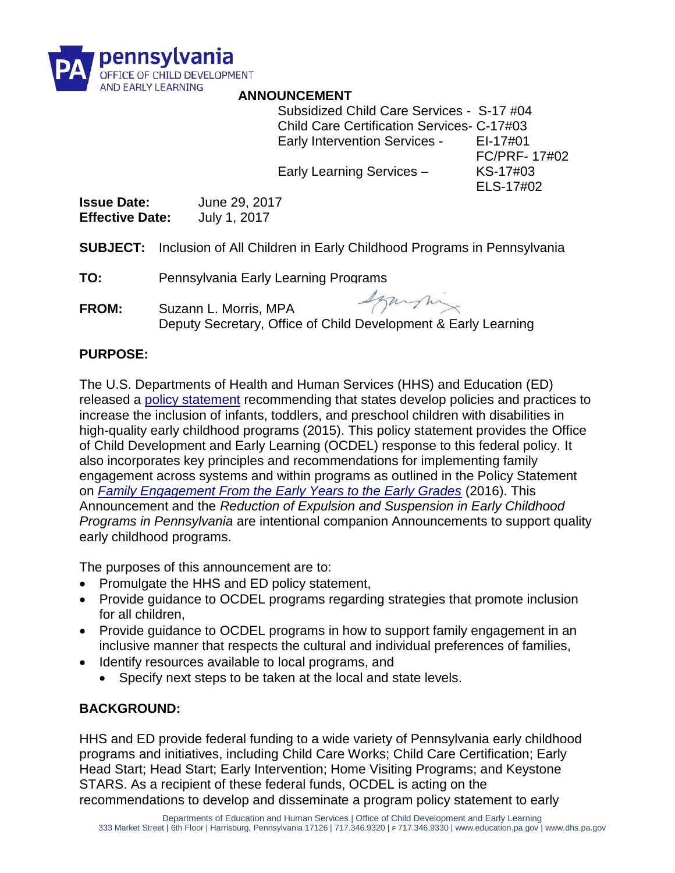

#### **ANNOUNCEMENT**

Subsidized Child Care Services - S-17 #04 Child Care Certification Services- C-17#03 Early Intervention Services - EI-17#01

Early Learning Services – KS-17#03

FC/PRF- 17#02 ELS-17#02

**Issue Date:** June 29, 2017 **Effective Date:** July 1, 2017

**SUBJECT:** Inclusion of All Children in Early Childhood Programs in Pennsylvania

**TO:** Pennsylvania Early Learning Programs

Symphy **FROM:** Suzann L. Morris, MPA Deputy Secretary, Office of Child Development & Early Learning

## **PURPOSE:**

The U.S. Departments of Health and Human Services (HHS) and Education (ED) released a [policy statement](https://www2.ed.gov/policy/speced/guid/earlylearning/joint-statement-full-text.pdf) recommending that states develop policies and practices to increase the inclusion of infants, toddlers, and preschool children with disabilities in high-quality early childhood programs (2015). This policy statement provides the Office of Child Development and Early Learning (OCDEL) response to this federal policy. It also incorporates key principles and recommendations for implementing family engagement across systems and within programs as outlined in the Policy Statement on *[Family Engagement From the Early Years to the Early Grades](https://www2.ed.gov/about/inits/ed/earlylearning/files/policy-statement-on-family-engagement.pdf)* (2016). This Announcement and the *Reduction of Expulsion and Suspension in Early Childhood Programs in Pennsylvania* are intentional companion Announcements to support quality early childhood programs.

The purposes of this announcement are to:

- Promulgate the HHS and ED policy statement,
- Provide guidance to OCDEL programs regarding strategies that promote inclusion for all children,
- Provide guidance to OCDEL programs in how to support family engagement in an inclusive manner that respects the cultural and individual preferences of families,
- Identify resources available to local programs, and
	- Specify next steps to be taken at the local and state levels.

## **BACKGROUND:**

HHS and ED provide federal funding to a wide variety of Pennsylvania early childhood programs and initiatives, including Child Care Works; Child Care Certification; Early Head Start; Head Start; Early Intervention; Home Visiting Programs; and Keystone STARS. As a recipient of these federal funds, OCDEL is acting on the recommendations to develop and disseminate a program policy statement to early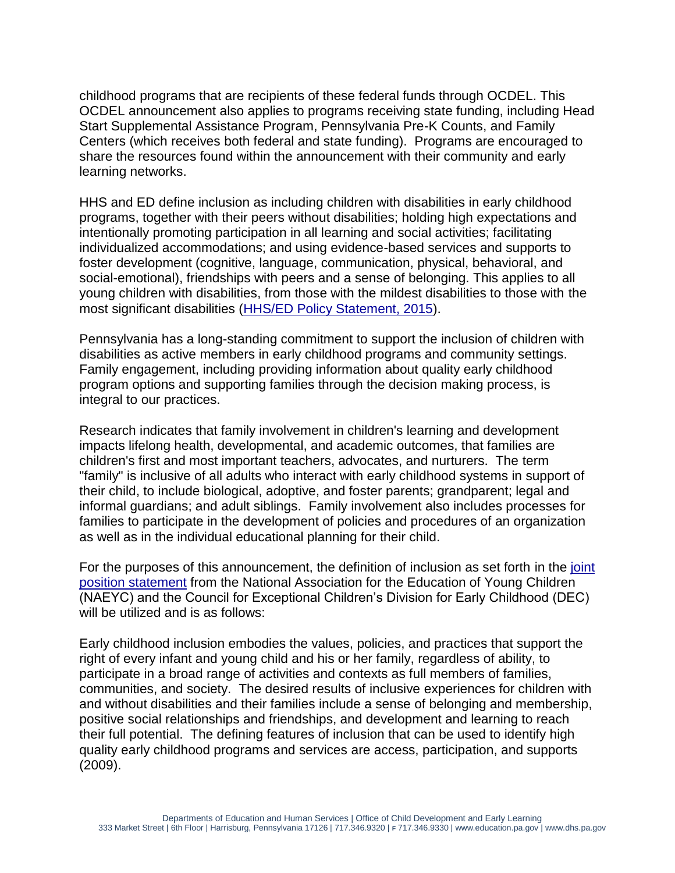childhood programs that are recipients of these federal funds through OCDEL. This OCDEL announcement also applies to programs receiving state funding, including Head Start Supplemental Assistance Program, Pennsylvania Pre-K Counts, and Family Centers (which receives both federal and state funding). Programs are encouraged to share the resources found within the announcement with their community and early learning networks.

HHS and ED define inclusion as including children with disabilities in early childhood programs, together with their peers without disabilities; holding high expectations and intentionally promoting participation in all learning and social activities; facilitating individualized accommodations; and using evidence-based services and supports to foster development (cognitive, language, communication, physical, behavioral, and social-emotional), friendships with peers and a sense of belonging. This applies to all young children with disabilities, from those with the mildest disabilities to those with the most significant disabilities [\(HHS/ED Policy Statement, 2015\)](https://www2.ed.gov/policy/speced/guid/earlylearning/joint-statement-full-text.pdf).

Pennsylvania has a long-standing commitment to support the inclusion of children with disabilities as active members in early childhood programs and community settings. Family engagement, including providing information about quality early childhood program options and supporting families through the decision making process, is integral to our practices.

Research indicates that family involvement in children's learning and development impacts lifelong health, developmental, and academic outcomes, that families are children's first and most important teachers, advocates, and nurturers. The term "family" is inclusive of all adults who interact with early childhood systems in support of their child, to include biological, adoptive, and foster parents; grandparent; legal and informal guardians; and adult siblings. Family involvement also includes processes for families to participate in the development of policies and procedures of an organization as well as in the individual educational planning for their child.

For the purposes of this announcement, the definition of inclusion as set forth in the [joint](https://www.naeyc.org/files/naeyc/file/positions/DEC_NAEYC_EC_updatedKS.pdf)  [position statement](https://www.naeyc.org/files/naeyc/file/positions/DEC_NAEYC_EC_updatedKS.pdf) from the National Association for the Education of Young Children (NAEYC) and the Council for Exceptional Children's Division for Early Childhood (DEC) will be utilized and is as follows:

Early childhood inclusion embodies the values, policies, and practices that support the right of every infant and young child and his or her family, regardless of ability, to participate in a broad range of activities and contexts as full members of families, communities, and society. The desired results of inclusive experiences for children with and without disabilities and their families include a sense of belonging and membership, positive social relationships and friendships, and development and learning to reach their full potential. The defining features of inclusion that can be used to identify high quality early childhood programs and services are access, participation, and supports (2009).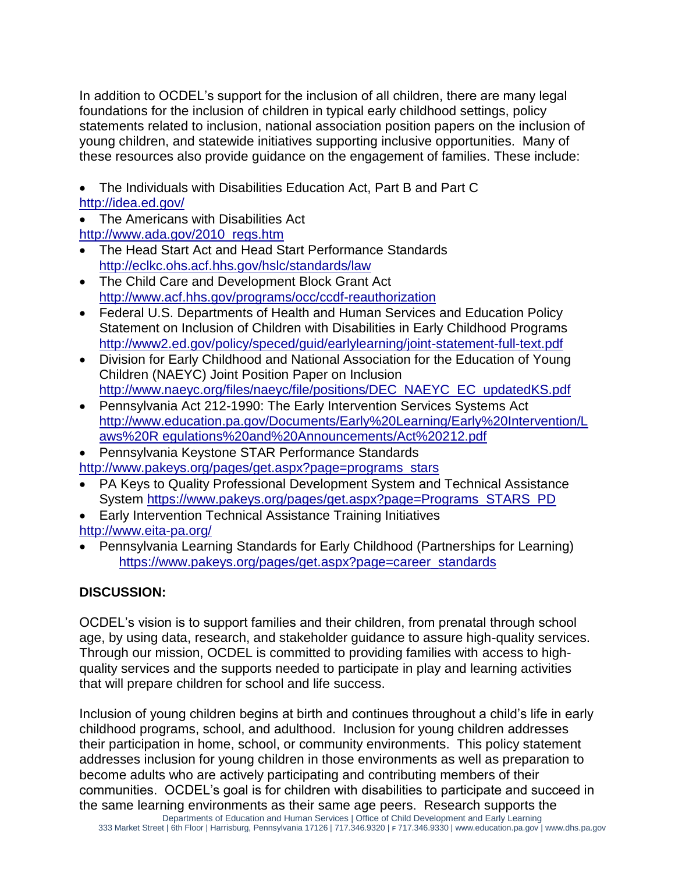In addition to OCDEL's support for the inclusion of all children, there are many legal foundations for the inclusion of children in typical early childhood settings, policy statements related to inclusion, national association position papers on the inclusion of young children, and statewide initiatives supporting inclusive opportunities. Many of these resources also provide guidance on the engagement of families. These include:

 The Individuals with Disabilities Education Act, Part B and Part C <http://idea.ed.gov/>

- The Americans with Disabilities Act
- [http://www.ada.gov/2010\\_regs.htm](http://www.ada.gov/2010_regs.htm)
- The Head Start Act and Head Start Performance Standards <http://eclkc.ohs.acf.hhs.gov/hslc/standards/law>
- The Child Care and Development Block Grant Act <http://www.acf.hhs.gov/programs/occ/ccdf-reauthorization>
- Federal U.S. Departments of Health and Human Services and Education Policy Statement on Inclusion of Children with Disabilities in Early Childhood Programs <http://www2.ed.gov/policy/speced/guid/earlylearning/joint-statement-full-text.pdf>
- Division for Early Childhood and National Association for the Education of Young Children (NAEYC) Joint Position Paper on Inclusion [http://www.naeyc.org/files/naeyc/file/positions/DEC\\_NAEYC\\_EC\\_updatedKS.pdf](http://www.naeyc.org/files/naeyc/file/positions/DEC_NAEYC_EC_updatedKS.pdf)
- Pennsylvania Act 212-1990: The Early Intervention Services Systems Act [http://www.education.pa.gov/Documents/Early%20Learning/Early%20Intervention/L](http://www.education.pa.gov/Documents/Early%20Learning/Early%20Intervention/Laws%20Regulations%20and%20Announcements/Act%20212.pdf) [aws%20R](http://www.education.pa.gov/Documents/Early%20Learning/Early%20Intervention/Laws%20Regulations%20and%20Announcements/Act%20212.pdf) [egulations%20and%20Announcements/Act%20212.pdf](http://www.education.pa.gov/Documents/Early%20Learning/Early%20Intervention/Laws%20Regulations%20and%20Announcements/Act%20212.pdf)
- Pennsylvania Keystone STAR Performance Standards
- [http://www.pakeys.org/pages/get.aspx?page=programs\\_stars](http://www.pakeys.org/pages/get.aspx?page=programs_stars)
- PA Keys to Quality Professional Development System and Technical Assistance System [https://www.pakeys.org/pages/get.aspx?page=Programs\\_STARS\\_PD](https://www.pakeys.org/pages/get.aspx?page=Programs_STARS_PD)
- Early Intervention Technical Assistance Training Initiatives <http://www.eita-pa.org/>
- Pennsylvania Learning Standards for Early Childhood (Partnerships for Learning) [https://www.pakeys.org/pages/get.aspx?page=career\\_standards](https://www.pakeys.org/pages/get.aspx?page=career_standards)

# **DISCUSSION:**

OCDEL's vision is to support families and their children, from prenatal through school age, by using data, research, and stakeholder guidance to assure high-quality services. Through our mission, OCDEL is committed to providing families with access to highquality services and the supports needed to participate in play and learning activities that will prepare children for school and life success.

Inclusion of young children begins at birth and continues throughout a child's life in early childhood programs, school, and adulthood. Inclusion for young children addresses their participation in home, school, or community environments. This policy statement addresses inclusion for young children in those environments as well as preparation to become adults who are actively participating and contributing members of their communities. OCDEL's goal is for children with disabilities to participate and succeed in the same learning environments as their same age peers. Research supports the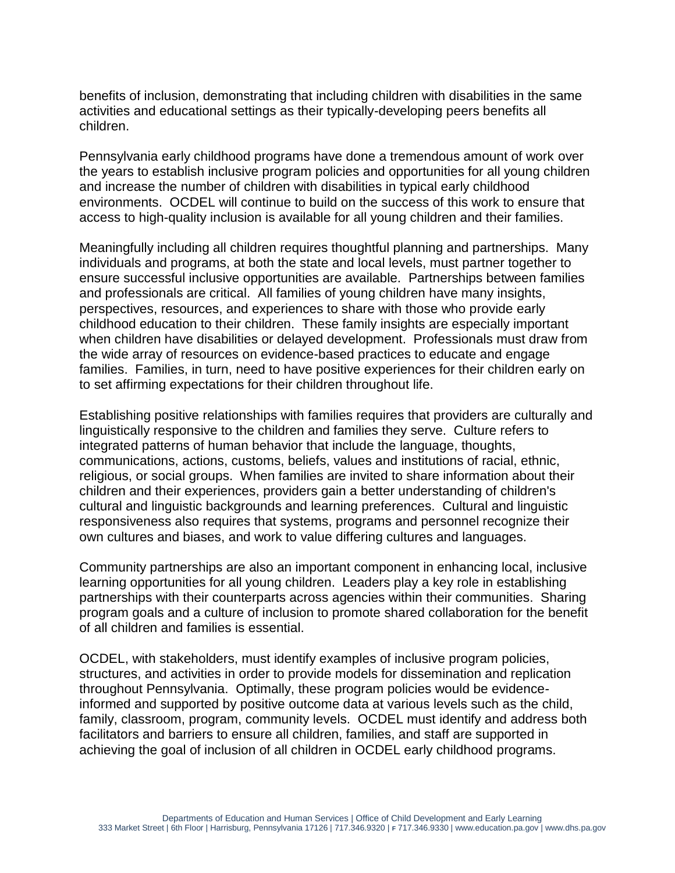benefits of inclusion, demonstrating that including children with disabilities in the same activities and educational settings as their typically-developing peers benefits all children.

Pennsylvania early childhood programs have done a tremendous amount of work over the years to establish inclusive program policies and opportunities for all young children and increase the number of children with disabilities in typical early childhood environments. OCDEL will continue to build on the success of this work to ensure that access to high-quality inclusion is available for all young children and their families.

Meaningfully including all children requires thoughtful planning and partnerships. Many individuals and programs, at both the state and local levels, must partner together to ensure successful inclusive opportunities are available. Partnerships between families and professionals are critical. All families of young children have many insights, perspectives, resources, and experiences to share with those who provide early childhood education to their children. These family insights are especially important when children have disabilities or delayed development. Professionals must draw from the wide array of resources on evidence-based practices to educate and engage families. Families, in turn, need to have positive experiences for their children early on to set affirming expectations for their children throughout life.

Establishing positive relationships with families requires that providers are culturally and linguistically responsive to the children and families they serve. Culture refers to integrated patterns of human behavior that include the language, thoughts, communications, actions, customs, beliefs, values and institutions of racial, ethnic, religious, or social groups. When families are invited to share information about their children and their experiences, providers gain a better understanding of children's cultural and linguistic backgrounds and learning preferences. Cultural and linguistic responsiveness also requires that systems, programs and personnel recognize their own cultures and biases, and work to value differing cultures and languages.

Community partnerships are also an important component in enhancing local, inclusive learning opportunities for all young children. Leaders play a key role in establishing partnerships with their counterparts across agencies within their communities. Sharing program goals and a culture of inclusion to promote shared collaboration for the benefit of all children and families is essential.

OCDEL, with stakeholders, must identify examples of inclusive program policies, structures, and activities in order to provide models for dissemination and replication throughout Pennsylvania. Optimally, these program policies would be evidenceinformed and supported by positive outcome data at various levels such as the child, family, classroom, program, community levels. OCDEL must identify and address both facilitators and barriers to ensure all children, families, and staff are supported in achieving the goal of inclusion of all children in OCDEL early childhood programs.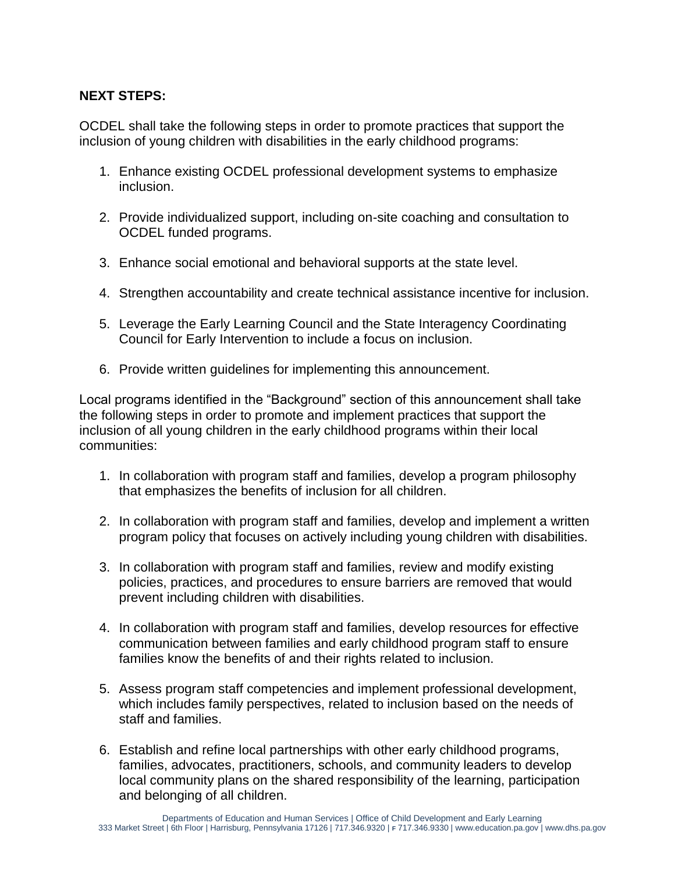## **NEXT STEPS:**

OCDEL shall take the following steps in order to promote practices that support the inclusion of young children with disabilities in the early childhood programs:

- 1. Enhance existing OCDEL professional development systems to emphasize inclusion.
- 2. Provide individualized support, including on-site coaching and consultation to OCDEL funded programs.
- 3. Enhance social emotional and behavioral supports at the state level.
- 4. Strengthen accountability and create technical assistance incentive for inclusion.
- 5. Leverage the Early Learning Council and the State Interagency Coordinating Council for Early Intervention to include a focus on inclusion.
- 6. Provide written guidelines for implementing this announcement.

Local programs identified in the "Background" section of this announcement shall take the following steps in order to promote and implement practices that support the inclusion of all young children in the early childhood programs within their local communities:

- 1. In collaboration with program staff and families, develop a program philosophy that emphasizes the benefits of inclusion for all children.
- 2. In collaboration with program staff and families, develop and implement a written program policy that focuses on actively including young children with disabilities.
- 3. In collaboration with program staff and families, review and modify existing policies, practices, and procedures to ensure barriers are removed that would prevent including children with disabilities.
- 4. In collaboration with program staff and families, develop resources for effective communication between families and early childhood program staff to ensure families know the benefits of and their rights related to inclusion.
- 5. Assess program staff competencies and implement professional development, which includes family perspectives, related to inclusion based on the needs of staff and families.
- 6. Establish and refine local partnerships with other early childhood programs, families, advocates, practitioners, schools, and community leaders to develop local community plans on the shared responsibility of the learning, participation and belonging of all children.